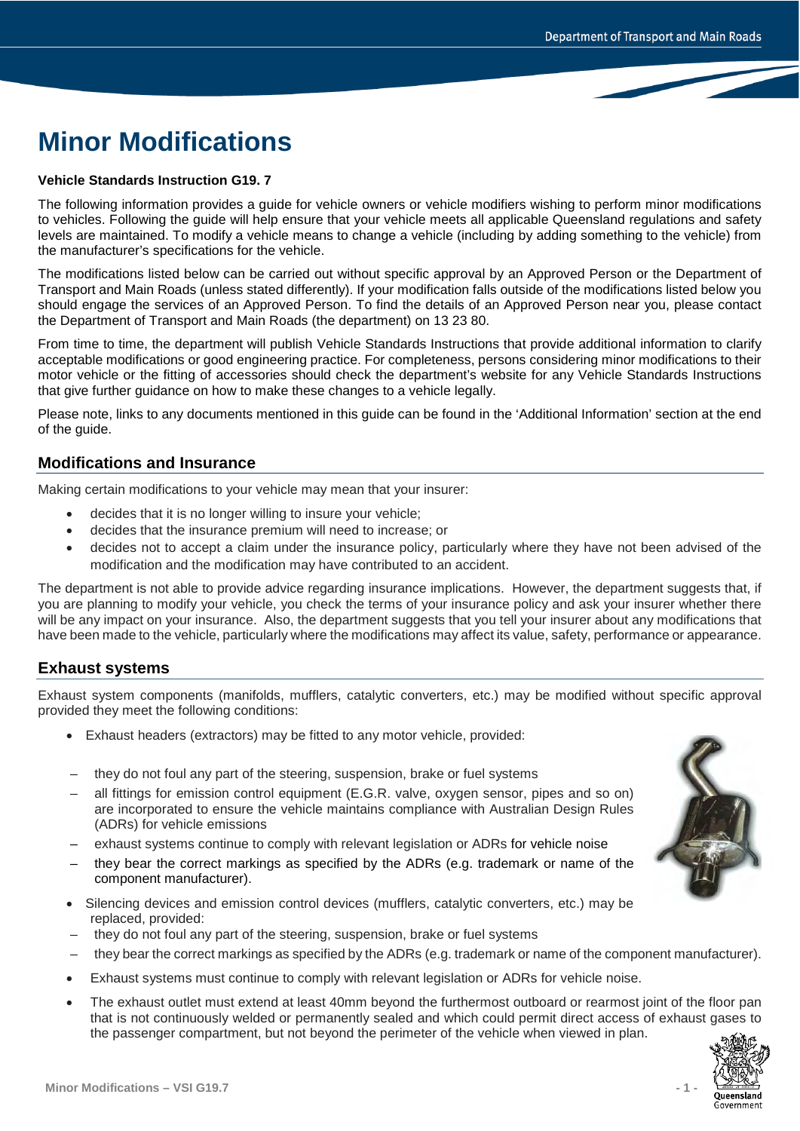# **Minor Modifications**

### **Vehicle Standards Instruction G19. 7**

The following information provides a guide for vehicle owners or vehicle modifiers wishing to perform minor modifications to vehicles. Following the guide will help ensure that your vehicle meets all applicable Queensland regulations and safety levels are maintained. To modify a vehicle means to change a vehicle (including by adding something to the vehicle) from the manufacturer's specifications for the vehicle.

The modifications listed below can be carried out without specific approval by an Approved Person or the Department of Transport and Main Roads (unless stated differently). If your modification falls outside of the modifications listed below you should engage the services of an Approved Person. To find the details of an Approved Person near you, please contact the Department of Transport and Main Roads (the department) on 13 23 80.

From time to time, the department will publish Vehicle Standards Instructions that provide additional information to clarify acceptable modifications or good engineering practice. For completeness, persons considering minor modifications to their motor vehicle or the fitting of accessories should check the department's website for any Vehicle Standards Instructions that give further guidance on how to make these changes to a vehicle legally.

Please note, links to any documents mentioned in this guide can be found in the 'Additional Information' section at the end of the guide.

# **Modifications and Insurance**

Making certain modifications to your vehicle may mean that your insurer:

- decides that it is no longer willing to insure your vehicle;
- decides that the insurance premium will need to increase; or
- decides not to accept a claim under the insurance policy, particularly where they have not been advised of the modification and the modification may have contributed to an accident.

The department is not able to provide advice regarding insurance implications. However, the department suggests that, if you are planning to modify your vehicle, you check the terms of your insurance policy and ask your insurer whether there will be any impact on your insurance. Also, the department suggests that you tell your insurer about any modifications that have been made to the vehicle, particularly where the modifications may affect its value, safety, performance or appearance.

# **Exhaust systems**

Exhaust system components (manifolds, mufflers, catalytic converters, etc.) may be modified without specific approval provided they meet the following conditions:

- Exhaust headers (extractors) may be fitted to any motor vehicle, provided:
- they do not foul any part of the steering, suspension, brake or fuel systems
- all fittings for emission control equipment (E.G.R. valve, oxygen sensor, pipes and so on) are incorporated to ensure the vehicle maintains compliance with Australian Design Rules (ADRs) for vehicle emissions
- exhaust systems continue to comply with relevant legislation or ADRs for vehicle noise
- they bear the correct markings as specified by the ADRs (e.g. trademark or name of the component manufacturer).
- Silencing devices and emission control devices (mufflers, catalytic converters, etc.) may be replaced, provided:
- they do not foul any part of the steering, suspension, brake or fuel systems
- they bear the correct markings as specified by the ADRs (e.g. trademark or name of the component manufacturer).
- Exhaust systems must continue to comply with relevant legislation or ADRs for vehicle noise.
- The exhaust outlet must extend at least 40mm beyond the furthermost outboard or rearmost joint of the floor pan that is not continuously welded or permanently sealed and which could permit direct access of exhaust gases to the passenger compartment, but not beyond the perimeter of the vehicle when viewed in plan.



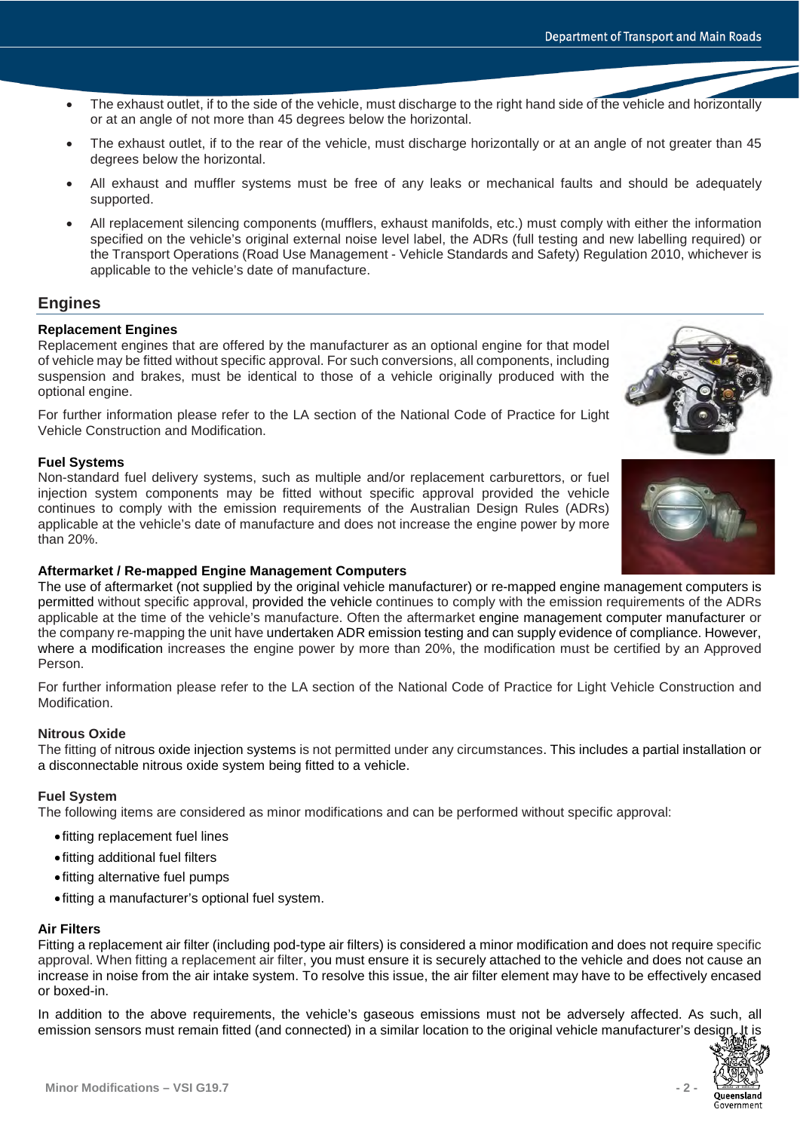- The exhaust outlet, if to the side of the vehicle, must discharge to the right hand side of the vehicle and horizontally or at an angle of not more than 45 degrees below the horizontal.
- The exhaust outlet, if to the rear of the vehicle, must discharge horizontally or at an angle of not greater than 45 degrees below the horizontal.
- All exhaust and muffler systems must be free of any leaks or mechanical faults and should be adequately supported.
- All replacement silencing components (mufflers, exhaust manifolds, etc.) must comply with either the information specified on the vehicle's original external noise level label, the ADRs (full testing and new labelling required) or the Transport Operations (Road Use Management - Vehicle Standards and Safety) Regulation 2010, whichever is applicable to the vehicle's date of manufacture.

# **Engines**

# **Replacement Engines**

Replacement engines that are offered by the manufacturer as an optional engine for that model of vehicle may be fitted without specific approval. For such conversions, all components, including suspension and brakes, must be identical to those of a vehicle originally produced with the optional engine.

For further information please refer to the LA section of the National Code of Practice for Light Vehicle Construction and Modification.

### **Fuel Systems**

Non-standard fuel delivery systems, such as multiple and/or replacement carburettors, or fuel injection system components may be fitted without specific approval provided the vehicle continues to comply with the emission requirements of the Australian Design Rules (ADRs) applicable at the vehicle's date of manufacture and does not increase the engine power by more than 20%.





### **Aftermarket / Re-mapped Engine Management Computers**

The use of aftermarket (not supplied by the original vehicle manufacturer) or re-mapped engine management computers is permitted without specific approval, provided the vehicle continues to comply with the emission requirements of the ADRs applicable at the time of the vehicle's manufacture. Often the aftermarket engine management computer manufacturer or the company re-mapping the unit have undertaken ADR emission testing and can supply evidence of compliance. However, where a modification increases the engine power by more than 20%, the modification must be certified by an Approved Person.

For further information please refer to the LA section of the National Code of Practice for Light Vehicle Construction and Modification.

### **Nitrous Oxide**

The fitting of nitrous oxide injection systems is not permitted under any circumstances. This includes a partial installation or a disconnectable nitrous oxide system being fitted to a vehicle.

### **Fuel System**

The following items are considered as minor modifications and can be performed without specific approval:

- fitting replacement fuel lines
- fitting additional fuel filters
- fitting alternative fuel pumps
- fitting a manufacturer's optional fuel system.

# **Air Filters**

Fitting a replacement air filter (including pod-type air filters) is considered a minor modification and does not require specific approval. When fitting a replacement air filter, you must ensure it is securely attached to the vehicle and does not cause an increase in noise from the air intake system. To resolve this issue, the air filter element may have to be effectively encased or boxed-in.

In addition to the above requirements, the vehicle's gaseous emissions must not be adversely affected. As such, all emission sensors must remain fitted (and connected) in a similar location to the original vehicle manufacturer's design

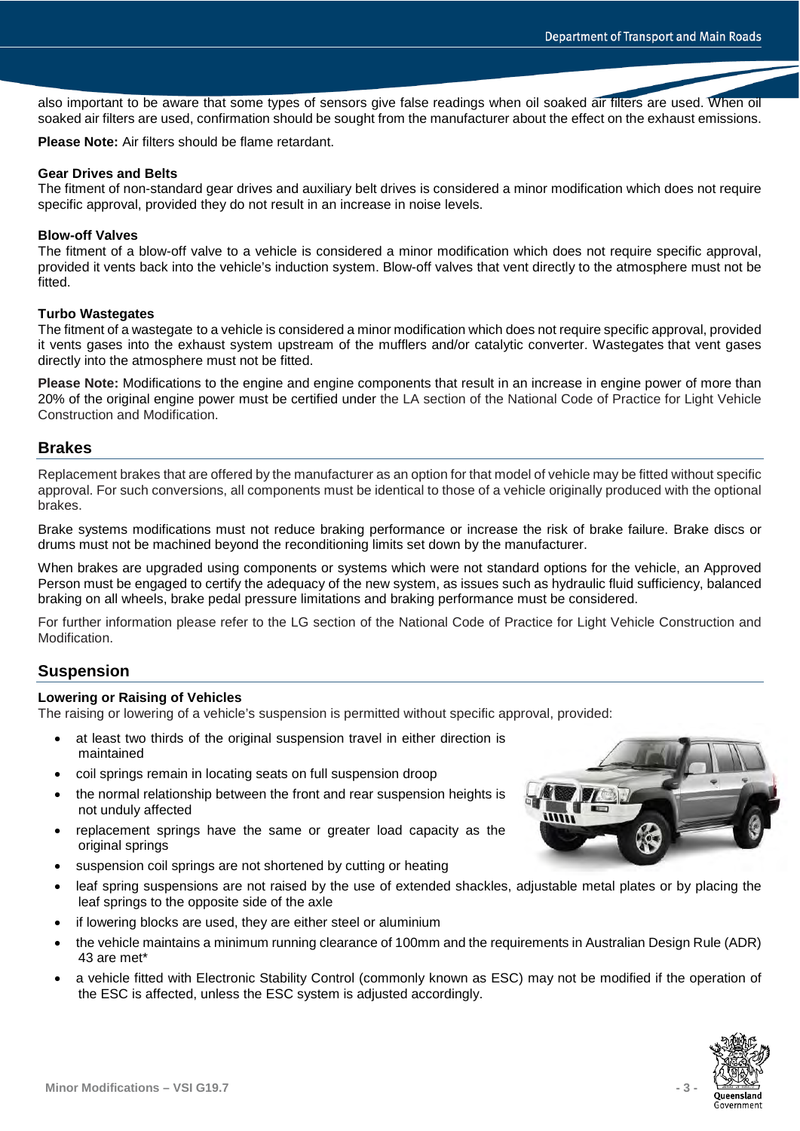also important to be aware that some types of sensors give false readings when oil soaked air filters are used. When oil soaked air filters are used, confirmation should be sought from the manufacturer about the effect on the exhaust emissions.

**Please Note:** Air filters should be flame retardant.

### **Gear Drives and Belts**

The fitment of non-standard gear drives and auxiliary belt drives is considered a minor modification which does not require specific approval, provided they do not result in an increase in noise levels.

### **Blow-off Valves**

The fitment of a blow-off valve to a vehicle is considered a minor modification which does not require specific approval, provided it vents back into the vehicle's induction system. Blow-off valves that vent directly to the atmosphere must not be fitted.

### **Turbo Wastegates**

The fitment of a wastegate to a vehicle is considered a minor modification which does not require specific approval, provided it vents gases into the exhaust system upstream of the mufflers and/or catalytic converter. Wastegates that vent gases directly into the atmosphere must not be fitted.

**Please Note:** Modifications to the engine and engine components that result in an increase in engine power of more than 20% of the original engine power must be certified under the LA section of the National Code of Practice for Light Vehicle Construction and Modification.

### **Brakes**

Replacement brakes that are offered by the manufacturer as an option for that model of vehicle may be fitted without specific approval. For such conversions, all components must be identical to those of a vehicle originally produced with the optional brakes.

Brake systems modifications must not reduce braking performance or increase the risk of brake failure. Brake discs or drums must not be machined beyond the reconditioning limits set down by the manufacturer.

When brakes are upgraded using components or systems which were not standard options for the vehicle, an Approved Person must be engaged to certify the adequacy of the new system, as issues such as hydraulic fluid sufficiency, balanced braking on all wheels, brake pedal pressure limitations and braking performance must be considered.

For further information please refer to the LG section of the National Code of Practice for Light Vehicle Construction and Modification.

### **Suspension**

#### **Lowering or Raising of Vehicles**

The raising or lowering of a vehicle's suspension is permitted without specific approval, provided:

- at least two thirds of the original suspension travel in either direction is maintained
- coil springs remain in locating seats on full suspension droop
- the normal relationship between the front and rear suspension heights is not unduly affected
- replacement springs have the same or greater load capacity as the original springs
- suspension coil springs are not shortened by cutting or heating
- leaf spring suspensions are not raised by the use of extended shackles, adjustable metal plates or by placing the leaf springs to the opposite side of the axle
- if lowering blocks are used, they are either steel or aluminium
- the vehicle maintains a minimum running clearance of 100mm and the requirements in Australian Design Rule (ADR) 43 are met\*
- a vehicle fitted with Electronic Stability Control (commonly known as ESC) may not be modified if the operation of the ESC is affected, unless the ESC system is adjusted accordingly.

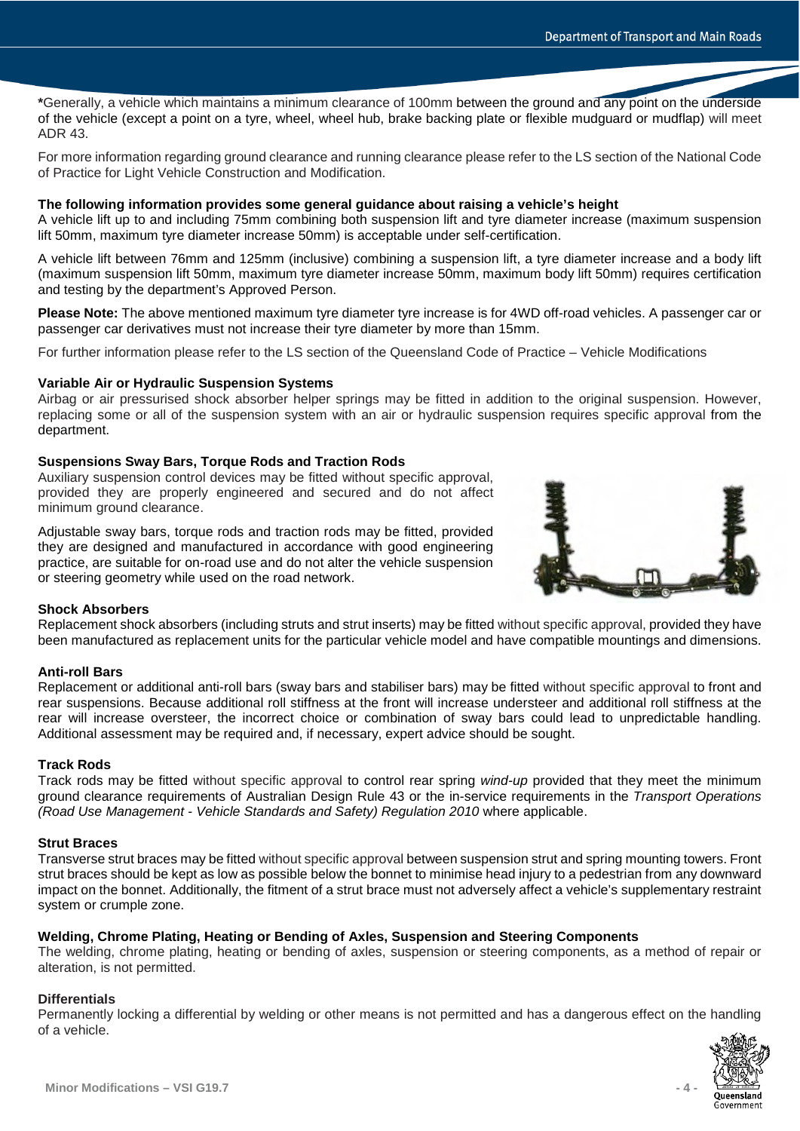**\***Generally, a vehicle which maintains a minimum clearance of 100mm between the ground and any point on the underside of the vehicle (except a point on a tyre, wheel, wheel hub, brake backing plate or flexible mudguard or mudflap) will meet ADR 43.

For more information regarding ground clearance and running clearance please refer to the LS section of the National Code of Practice for Light Vehicle Construction and Modification.

### **The following information provides some general guidance about raising a vehicle's height**

A vehicle lift up to and including 75mm combining both suspension lift and tyre diameter increase (maximum suspension lift 50mm, maximum tyre diameter increase 50mm) is acceptable under self-certification.

A vehicle lift between 76mm and 125mm (inclusive) combining a suspension lift, a tyre diameter increase and a body lift (maximum suspension lift 50mm, maximum tyre diameter increase 50mm, maximum body lift 50mm) requires certification and testing by the department's Approved Person.

**Please Note:** The above mentioned maximum tyre diameter tyre increase is for 4WD off-road vehicles. A passenger car or passenger car derivatives must not increase their tyre diameter by more than 15mm.

For further information please refer to the LS section of the Queensland Code of Practice – Vehicle Modifications

### **Variable Air or Hydraulic Suspension Systems**

Airbag or air pressurised shock absorber helper springs may be fitted in addition to the original suspension. However, replacing some or all of the suspension system with an air or hydraulic suspension requires specific approval from the department.

### **Suspensions Sway Bars, Torque Rods and Traction Rods**

Auxiliary suspension control devices may be fitted without specific approval, provided they are properly engineered and secured and do not affect minimum ground clearance.

Adjustable sway bars, torque rods and traction rods may be fitted, provided they are designed and manufactured in accordance with good engineering practice, are suitable for on-road use and do not alter the vehicle suspension or steering geometry while used on the road network.



#### **Shock Absorbers**

Replacement shock absorbers (including struts and strut inserts) may be fitted without specific approval, provided they have been manufactured as replacement units for the particular vehicle model and have compatible mountings and dimensions.

#### **Anti-roll Bars**

Replacement or additional anti-roll bars (sway bars and stabiliser bars) may be fitted without specific approval to front and rear suspensions. Because additional roll stiffness at the front will increase understeer and additional roll stiffness at the rear will increase oversteer, the incorrect choice or combination of sway bars could lead to unpredictable handling. Additional assessment may be required and, if necessary, expert advice should be sought.

#### **Track Rods**

Track rods may be fitted without specific approval to control rear spring *wind-up* provided that they meet the minimum ground clearance requirements of Australian Design Rule 43 or the in-service requirements in the *Transport Operations (Road Use Management - Vehicle Standards and Safety) Regulation 2010* where applicable.

### **Strut Braces**

Transverse strut braces may be fitted without specific approval between suspension strut and spring mounting towers. Front strut braces should be kept as low as possible below the bonnet to minimise head injury to a pedestrian from any downward impact on the bonnet. Additionally, the fitment of a strut brace must not adversely affect a vehicle's supplementary restraint system or crumple zone.

### **Welding, Chrome Plating, Heating or Bending of Axles, Suspension and Steering Components**

The welding, chrome plating, heating or bending of axles, suspension or steering components, as a method of repair or alteration, is not permitted.

#### **Differentials**

Permanently locking a differential by welding or other means is not permitted and has a dangerous effect on the handling of a vehicle.

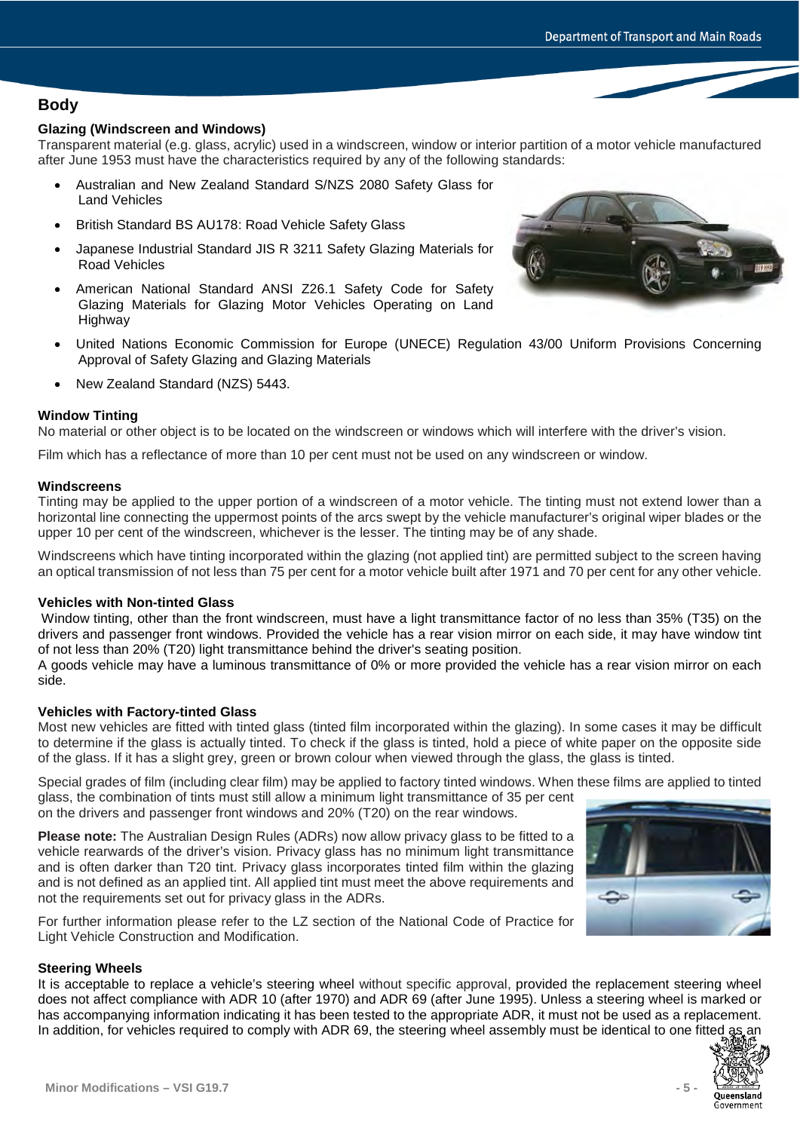# **Body**

# **Glazing (Windscreen and Windows)**

Transparent material (e.g. glass, acrylic) used in a windscreen, window or interior partition of a motor vehicle manufactured after June 1953 must have the characteristics required by any of the following standards:

- Australian and New Zealand Standard S/NZS 2080 Safety Glass for Land Vehicles
- British Standard BS AU178: Road Vehicle Safety Glass
- Japanese Industrial Standard JIS R 3211 Safety Glazing Materials for Road Vehicles
- American National Standard ANSI Z26.1 Safety Code for Safety Glazing Materials for Glazing Motor Vehicles Operating on Land Highway
- United Nations Economic Commission for Europe (UNECE) Regulation 43/00 Uniform Provisions Concerning Approval of Safety Glazing and Glazing Materials
- New Zealand Standard (NZS) 5443.

### **Window Tinting**

No material or other object is to be located on the windscreen or windows which will interfere with the driver's vision.

Film which has a reflectance of more than 10 per cent must not be used on any windscreen or window.

### **Windscreens**

Tinting may be applied to the upper portion of a windscreen of a motor vehicle. The tinting must not extend lower than a horizontal line connecting the uppermost points of the arcs swept by the vehicle manufacturer's original wiper blades or the upper 10 per cent of the windscreen, whichever is the lesser. The tinting may be of any shade.

Windscreens which have tinting incorporated within the glazing (not applied tint) are permitted subject to the screen having an optical transmission of not less than 75 per cent for a motor vehicle built after 1971 and 70 per cent for any other vehicle.

### **Vehicles with Non-tinted Glass**

Window tinting, other than the front windscreen, must have a light transmittance factor of no less than 35% (T35) on the drivers and passenger front windows. Provided the vehicle has a rear vision mirror on each side, it may have window tint of not less than 20% (T20) light transmittance behind the driver's seating position.

A goods vehicle may have a luminous transmittance of 0% or more provided the vehicle has a rear vision mirror on each side.

### **Vehicles with Factory-tinted Glass**

Most new vehicles are fitted with tinted glass (tinted film incorporated within the glazing). In some cases it may be difficult to determine if the glass is actually tinted. To check if the glass is tinted, hold a piece of white paper on the opposite side of the glass. If it has a slight grey, green or brown colour when viewed through the glass, the glass is tinted.

Special grades of film (including clear film) may be applied to factory tinted windows. When these films are applied to tinted glass, the combination of tints must still allow a minimum light transmittance of 35 per cent

on the drivers and passenger front windows and 20% (T20) on the rear windows.

**Please note:** The Australian Design Rules (ADRs) now allow privacy glass to be fitted to a vehicle rearwards of the driver's vision. Privacy glass has no minimum light transmittance and is often darker than T20 tint. Privacy glass incorporates tinted film within the glazing and is not defined as an applied tint. All applied tint must meet the above requirements and not the requirements set out for privacy glass in the ADRs.

For further information please refer to the LZ section of the National Code of Practice for Light Vehicle Construction and Modification.

### **Steering Wheels**

It is acceptable to replace a vehicle's steering wheel without specific approval, provided the replacement steering wheel does not affect compliance with ADR 10 (after 1970) and ADR 69 (after June 1995). Unless a steering wheel is marked or has accompanying information indicating it has been tested to the appropriate ADR, it must not be used as a replacement. In addition, for vehicles required to comply with ADR 69, the steering wheel assembly must be identical to one fitted as an





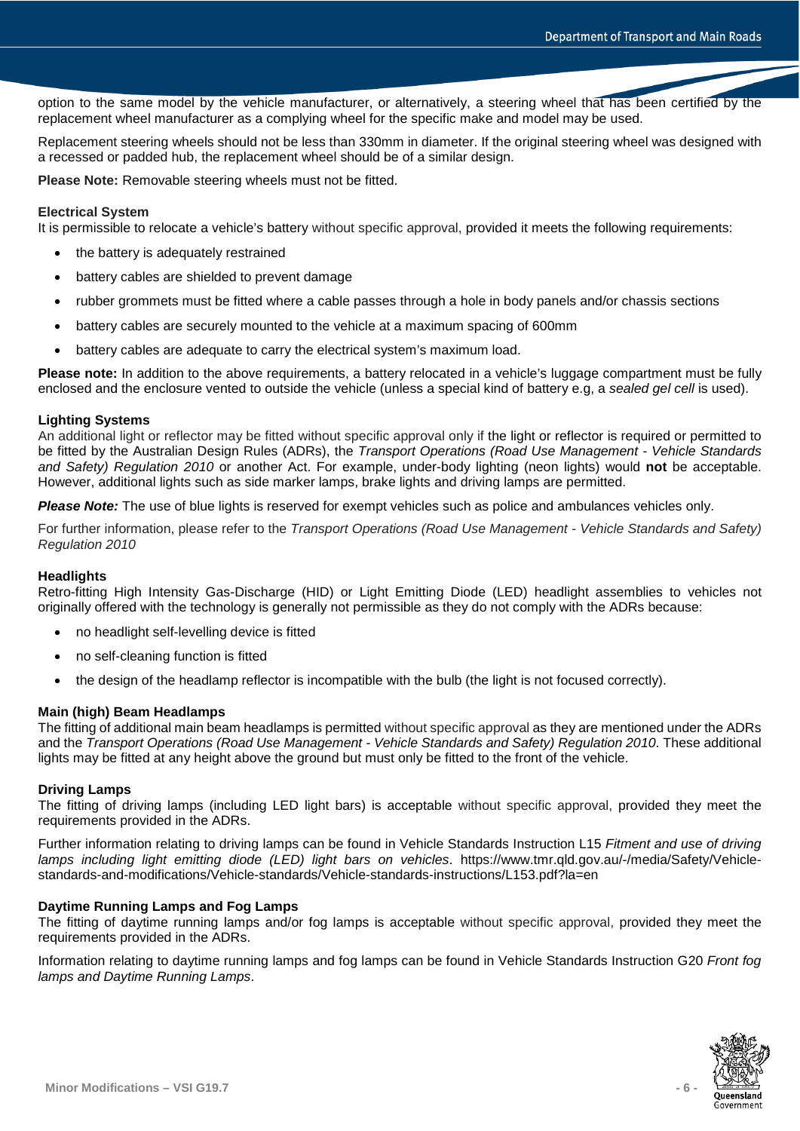option to the same model by the vehicle manufacturer, or alternatively, a steering wheel that has been certified by the replacement wheel manufacturer as a complying wheel for the specific make and model may be used.

Replacement steering wheels should not be less than 330mm in diameter. If the original steering wheel was designed with a recessed or padded hub, the replacement wheel should be of a similar design.

**Please Note:** Removable steering wheels must not be fitted.

### **Electrical System**

It is permissible to relocate a vehicle's battery without specific approval, provided it meets the following requirements:

- the battery is adequately restrained
- battery cables are shielded to prevent damage
- rubber grommets must be fitted where a cable passes through a hole in body panels and/or chassis sections
- battery cables are securely mounted to the vehicle at a maximum spacing of 600mm
- battery cables are adequate to carry the electrical system's maximum load.

**Please note:** In addition to the above requirements, a battery relocated in a vehicle's luggage compartment must be fully enclosed and the enclosure vented to outside the vehicle (unless a special kind of battery e.g, a *sealed gel cell* is used).

### **Lighting Systems**

An additional light or reflector may be fitted without specific approval only if the light or reflector is required or permitted to be fitted by the Australian Design Rules (ADRs), the *Transport Operations (Road Use Management - Vehicle Standards and Safety) Regulation 2010* or another Act. For example, under-body lighting (neon lights) would **not** be acceptable. However, additional lights such as side marker lamps, brake lights and driving lamps are permitted.

*Please Note:* The use of blue lights is reserved for exempt vehicles such as police and ambulances vehicles only.

For further information, please refer to the *Transport Operations (Road Use Management - Vehicle Standards and Safety) Regulation 2010*

# **Headlights**

Retro-fitting High Intensity Gas-Discharge (HID) or Light Emitting Diode (LED) headlight assemblies to vehicles not originally offered with the technology is generally not permissible as they do not comply with the ADRs because:

- no headlight self-levelling device is fitted
- no self-cleaning function is fitted
- the design of the headlamp reflector is incompatible with the bulb (the light is not focused correctly).

# **Main (high) Beam Headlamps**

The fitting of additional main beam headlamps is permitted without specific approval as they are mentioned under the ADRs and the *Transport Operations (Road Use Management - Vehicle Standards and Safety) Regulation 2010*. These additional lights may be fitted at any height above the ground but must only be fitted to the front of the vehicle.

### **Driving Lamps**

The fitting of driving lamps (including LED light bars) is acceptable without specific approval, provided they meet the requirements provided in the ADRs.

Further information relating to driving lamps can be found in Vehicle Standards Instruction L15 *Fitment and use of driving lamps including light emitting diode (LED) light bars on vehicles*. https://www.tmr.qld.gov.au/-/media/Safety/Vehiclestandards-and-modifications/Vehicle-standards/Vehicle-standards-instructions/L153.pdf?la=en

### **Daytime Running Lamps and Fog Lamps**

The fitting of daytime running lamps and/or fog lamps is acceptable without specific approval, provided they meet the requirements provided in the ADRs.

Information relating to daytime running lamps and fog lamps can be found in Vehicle Standards Instruction G20 *Front fog lamps and Daytime Running Lamps*.

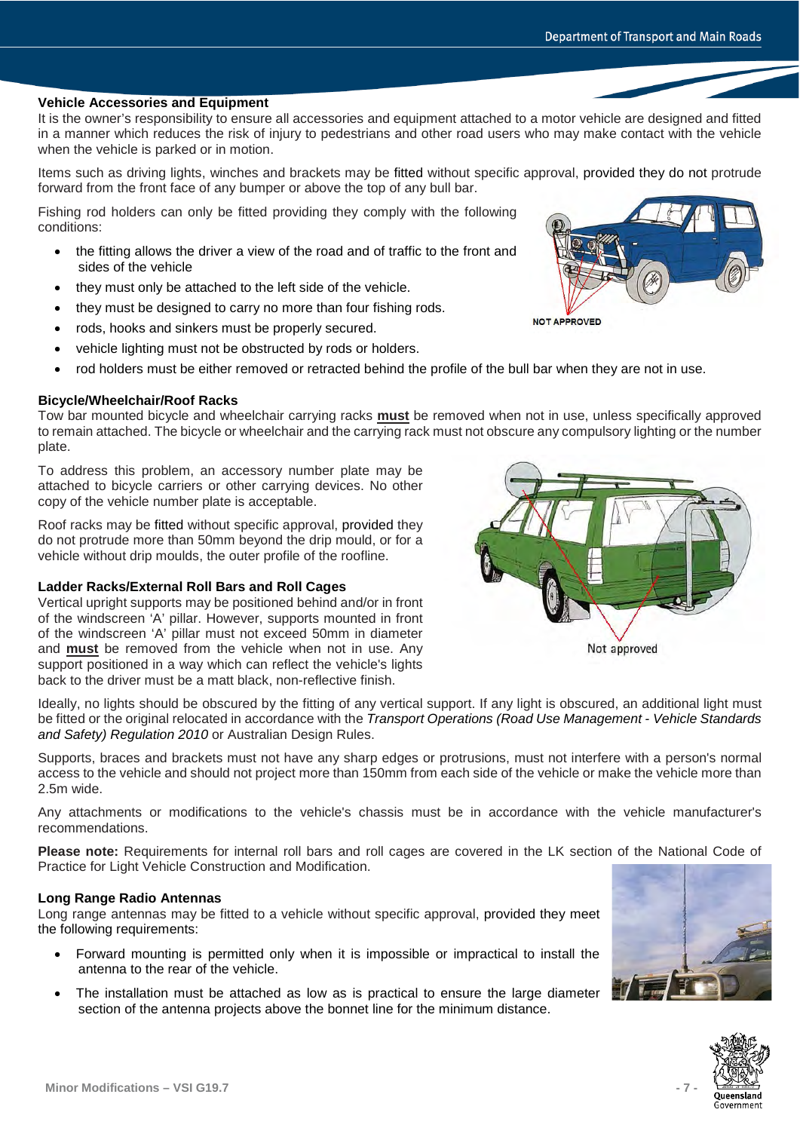# **Vehicle Accessories and Equipment**

It is the owner's responsibility to ensure all accessories and equipment attached to a motor vehicle are designed and fitted in a manner which reduces the risk of injury to pedestrians and other road users who may make contact with the vehicle when the vehicle is parked or in motion.

Items such as driving lights, winches and brackets may be fitted without specific approval, provided they do not protrude forward from the front face of any bumper or above the top of any bull bar.

Fishing rod holders can only be fitted providing they comply with the following conditions:

- the fitting allows the driver a view of the road and of traffic to the front and sides of the vehicle
- they must only be attached to the left side of the vehicle.
- they must be designed to carry no more than four fishing rods.
- rods, hooks and sinkers must be properly secured.
- vehicle lighting must not be obstructed by rods or holders.
- rod holders must be either removed or retracted behind the profile of the bull bar when they are not in use.

# **Bicycle/Wheelchair/Roof Racks**

Tow bar mounted bicycle and wheelchair carrying racks **must** be removed when not in use, unless specifically approved to remain attached. The bicycle or wheelchair and the carrying rack must not obscure any compulsory lighting or the number plate.

To address this problem, an accessory number plate may be attached to bicycle carriers or other carrying devices. No other copy of the vehicle number plate is acceptable.

Roof racks may be fitted without specific approval, provided they do not protrude more than 50mm beyond the drip mould, or for a vehicle without drip moulds, the outer profile of the roofline.

# **Ladder Racks/External Roll Bars and Roll Cages**

Vertical upright supports may be positioned behind and/or in front of the windscreen 'A' pillar. However, supports mounted in front of the windscreen 'A' pillar must not exceed 50mm in diameter and **must** be removed from the vehicle when not in use. Any support positioned in a way which can reflect the vehicle's lights back to the driver must be a matt black, non-reflective finish.

Ideally, no lights should be obscured by the fitting of any vertical support. If any light is obscured, an additional light must be fitted or the original relocated in accordance with the *Transport Operations (Road Use Management - Vehicle Standards and Safety) Regulation 2010* or Australian Design Rules.

Supports, braces and brackets must not have any sharp edges or protrusions, must not interfere with a person's normal access to the vehicle and should not project more than 150mm from each side of the vehicle or make the vehicle more than 2.5m wide.

Any attachments or modifications to the vehicle's chassis must be in accordance with the vehicle manufacturer's recommendations.

**Please note:** Requirements for internal roll bars and roll cages are covered in the LK section of the National Code of Practice for Light Vehicle Construction and Modification.

# **Long Range Radio Antennas**

Long range antennas may be fitted to a vehicle without specific approval, provided they meet the following requirements:

- Forward mounting is permitted only when it is impossible or impractical to install the antenna to the rear of the vehicle.
- The installation must be attached as low as is practical to ensure the large diameter section of the antenna projects above the bonnet line for the minimum distance.

**Minor Modifications – VSI G19.7 - 7 -**







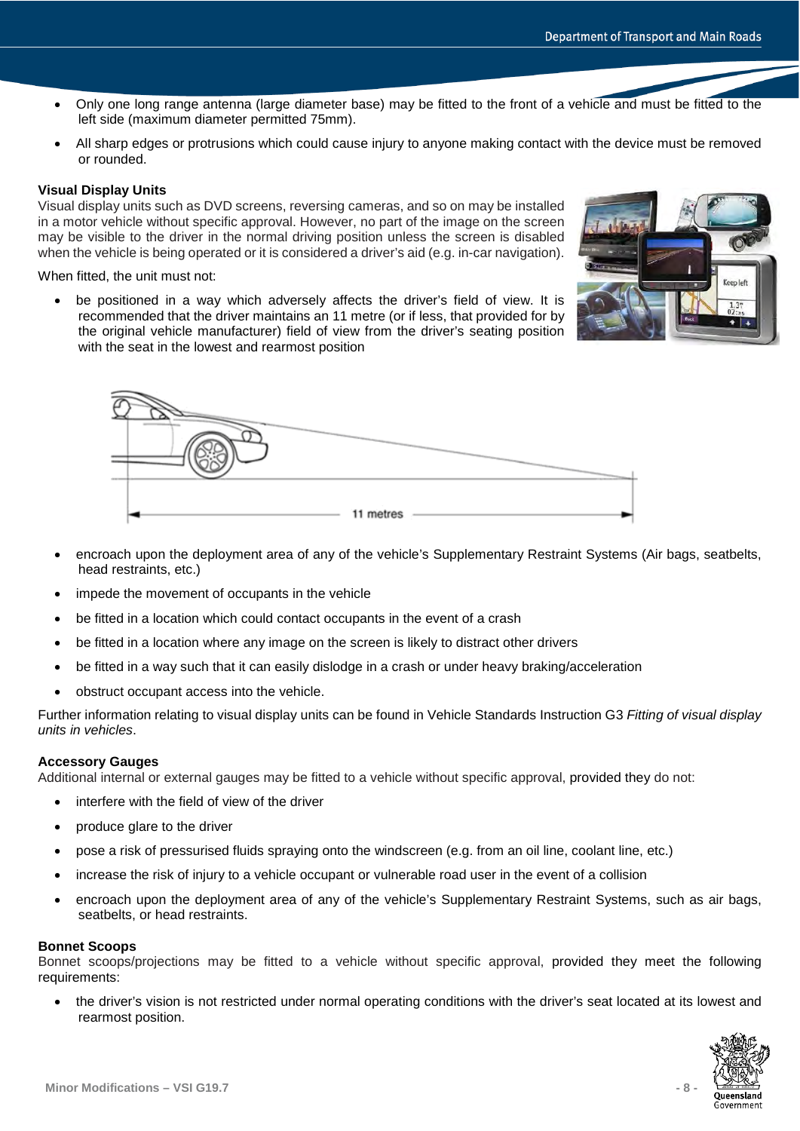- Only one long range antenna (large diameter base) may be fitted to the front of a vehicle and must be fitted to the left side (maximum diameter permitted 75mm).
- All sharp edges or protrusions which could cause injury to anyone making contact with the device must be removed or rounded.

### **Visual Display Units**

Visual display units such as DVD screens, reversing cameras, and so on may be installed in a motor vehicle without specific approval. However, no part of the image on the screen may be visible to the driver in the normal driving position unless the screen is disabled when the vehicle is being operated or it is considered a driver's aid (e.g. in-car navigation).

When fitted, the unit must not:

be positioned in a way which adversely affects the driver's field of view. It is recommended that the driver maintains an 11 metre (or if less, that provided for by the original vehicle manufacturer) field of view from the driver's seating position with the seat in the lowest and rearmost position





- encroach upon the deployment area of any of the vehicle's Supplementary Restraint Systems (Air bags, seatbelts, head restraints, etc.)
- impede the movement of occupants in the vehicle
- be fitted in a location which could contact occupants in the event of a crash
- be fitted in a location where any image on the screen is likely to distract other drivers
- be fitted in a way such that it can easily dislodge in a crash or under heavy braking/acceleration
- obstruct occupant access into the vehicle.

Further information relating to visual display units can be found in Vehicle Standards Instruction G3 *Fitting of visual display units in vehicles*.

#### **Accessory Gauges**

Additional internal or external gauges may be fitted to a vehicle without specific approval, provided they do not:

- interfere with the field of view of the driver
- produce glare to the driver
- pose a risk of pressurised fluids spraying onto the windscreen (e.g. from an oil line, coolant line, etc.)
- increase the risk of injury to a vehicle occupant or vulnerable road user in the event of a collision
- encroach upon the deployment area of any of the vehicle's Supplementary Restraint Systems, such as air bags, seatbelts, or head restraints.

#### **Bonnet Scoops**

Bonnet scoops/projections may be fitted to a vehicle without specific approval, provided they meet the following requirements:

• the driver's vision is not restricted under normal operating conditions with the driver's seat located at its lowest and rearmost position.

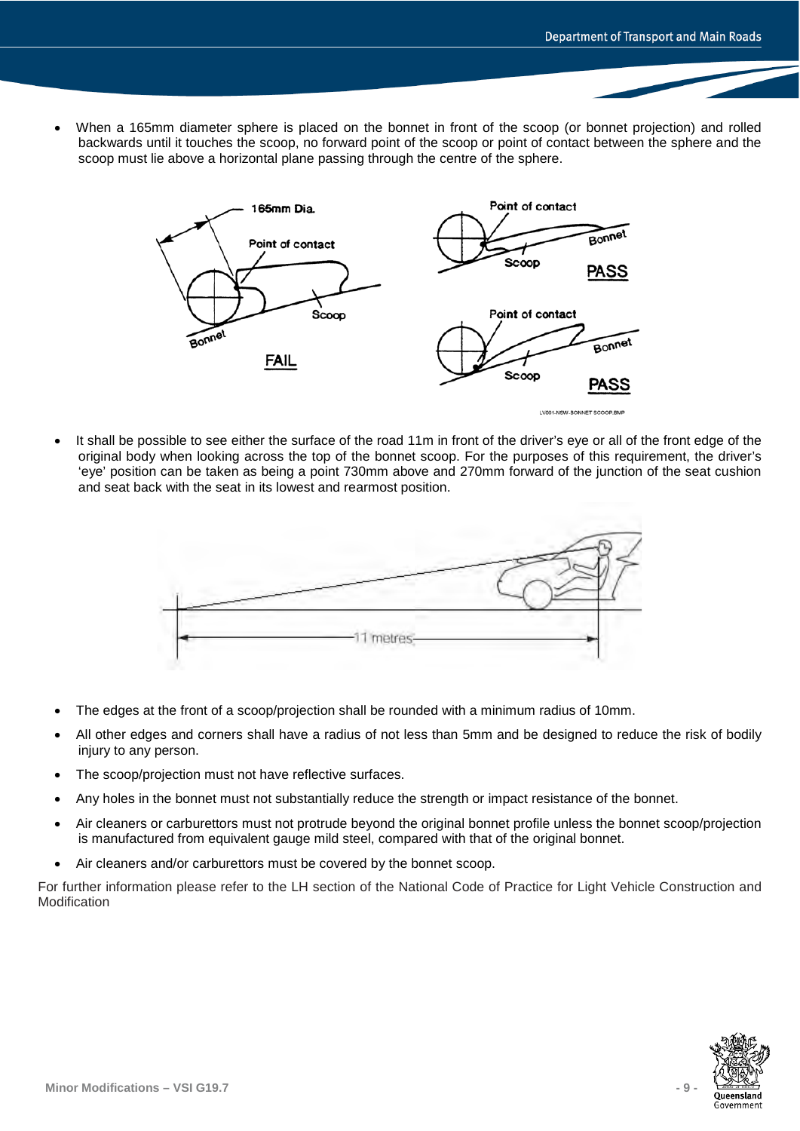• When a 165mm diameter sphere is placed on the bonnet in front of the scoop (or bonnet projection) and rolled backwards until it touches the scoop, no forward point of the scoop or point of contact between the sphere and the scoop must lie above a horizontal plane passing through the centre of the sphere.



It shall be possible to see either the surface of the road 11m in front of the driver's eve or all of the front edge of the original body when looking across the top of the bonnet scoop. For the purposes of this requirement, the driver's 'eye' position can be taken as being a point 730mm above and 270mm forward of the junction of the seat cushion and seat back with the seat in its lowest and rearmost position.



- The edges at the front of a scoop/projection shall be rounded with a minimum radius of 10mm.
- All other edges and corners shall have a radius of not less than 5mm and be designed to reduce the risk of bodily injury to any person.
- The scoop/projection must not have reflective surfaces.
- Any holes in the bonnet must not substantially reduce the strength or impact resistance of the bonnet.
- Air cleaners or carburettors must not protrude beyond the original bonnet profile unless the bonnet scoop/projection is manufactured from equivalent gauge mild steel, compared with that of the original bonnet.
- Air cleaners and/or carburettors must be covered by the bonnet scoop.

For further information please refer to the LH section of the National Code of Practice for Light Vehicle Construction and Modification

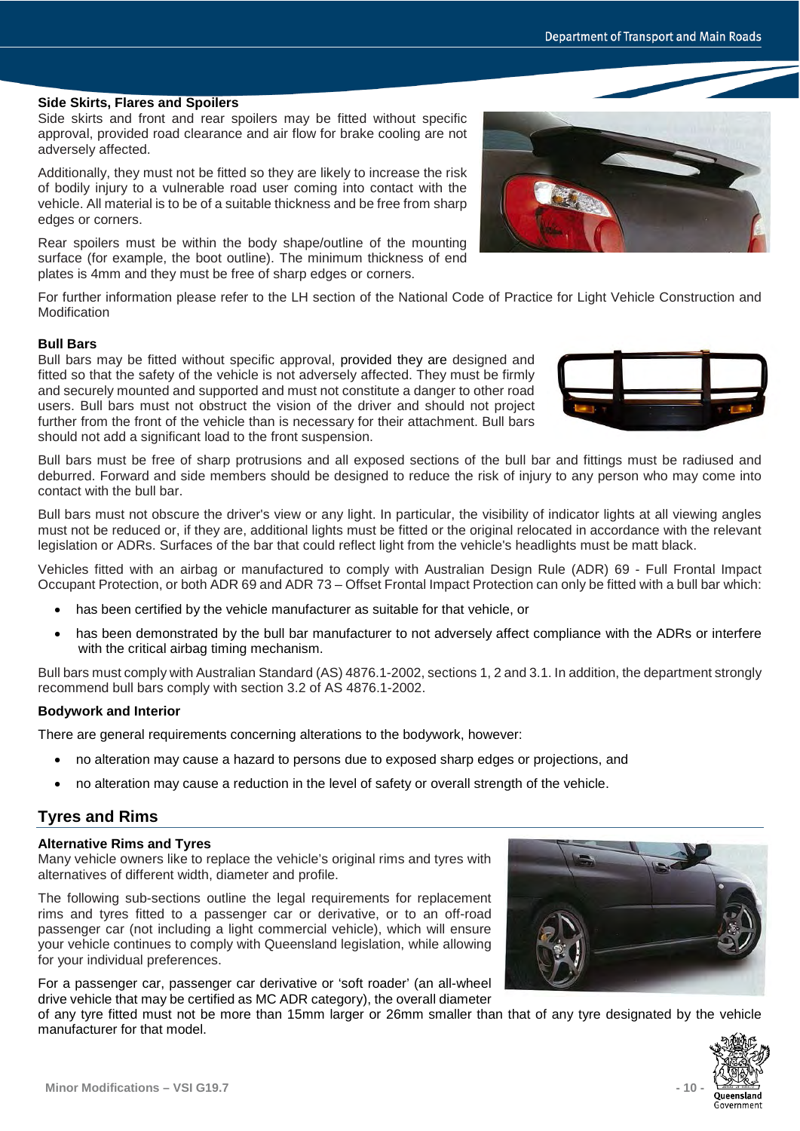# **Side Skirts, Flares and Spoilers**

Side skirts and front and rear spoilers may be fitted without specific approval, provided road clearance and air flow for brake cooling are not adversely affected.

Additionally, they must not be fitted so they are likely to increase the risk of bodily injury to a vulnerable road user coming into contact with the vehicle. All material is to be of a suitable thickness and be free from sharp edges or corners.

Rear spoilers must be within the body shape/outline of the mounting surface (for example, the boot outline). The minimum thickness of end plates is 4mm and they must be free of sharp edges or corners.

For further information please refer to the LH section of the National Code of Practice for Light Vehicle Construction and Modification

# **Bull Bars**

Bull bars may be fitted without specific approval, provided they are designed and fitted so that the safety of the vehicle is not adversely affected. They must be firmly and securely mounted and supported and must not constitute a danger to other road users. Bull bars must not obstruct the vision of the driver and should not project further from the front of the vehicle than is necessary for their attachment. Bull bars should not add a significant load to the front suspension.

Bull bars must be free of sharp protrusions and all exposed sections of the bull bar and fittings must be radiused and deburred. Forward and side members should be designed to reduce the risk of injury to any person who may come into contact with the bull bar.

Bull bars must not obscure the driver's view or any light. In particular, the visibility of indicator lights at all viewing angles must not be reduced or, if they are, additional lights must be fitted or the original relocated in accordance with the relevant legislation or ADRs. Surfaces of the bar that could reflect light from the vehicle's headlights must be matt black.

Vehicles fitted with an airbag or manufactured to comply with Australian Design Rule (ADR) 69 - Full Frontal Impact Occupant Protection, or both ADR 69 and ADR 73 – Offset Frontal Impact Protection can only be fitted with a bull bar which:

- has been certified by the vehicle manufacturer as suitable for that vehicle, or
- has been demonstrated by the bull bar manufacturer to not adversely affect compliance with the ADRs or interfere with the critical airbag timing mechanism.

Bull bars must comply with Australian Standard (AS) 4876.1-2002, sections 1, 2 and 3.1. In addition, the department strongly recommend bull bars comply with section 3.2 of AS 4876.1-2002.

# **Bodywork and Interior**

There are general requirements concerning alterations to the bodywork, however:

- no alteration may cause a hazard to persons due to exposed sharp edges or projections, and
- no alteration may cause a reduction in the level of safety or overall strength of the vehicle.

# **Tyres and Rims**

# **Alternative Rims and Tyres**

Many vehicle owners like to replace the vehicle's original rims and tyres with alternatives of different width, diameter and profile.

The following sub-sections outline the legal requirements for replacement rims and tyres fitted to a passenger car or derivative, or to an off-road passenger car (not including a light commercial vehicle), which will ensure your vehicle continues to comply with Queensland legislation, while allowing for your individual preferences.

For a passenger car, passenger car derivative or 'soft roader' (an all-wheel drive vehicle that may be certified as MC ADR category), the overall diameter

of any tyre fitted must not be more than 15mm larger or 26mm smaller than that of any tyre designated by the vehicle manufacturer for that model.



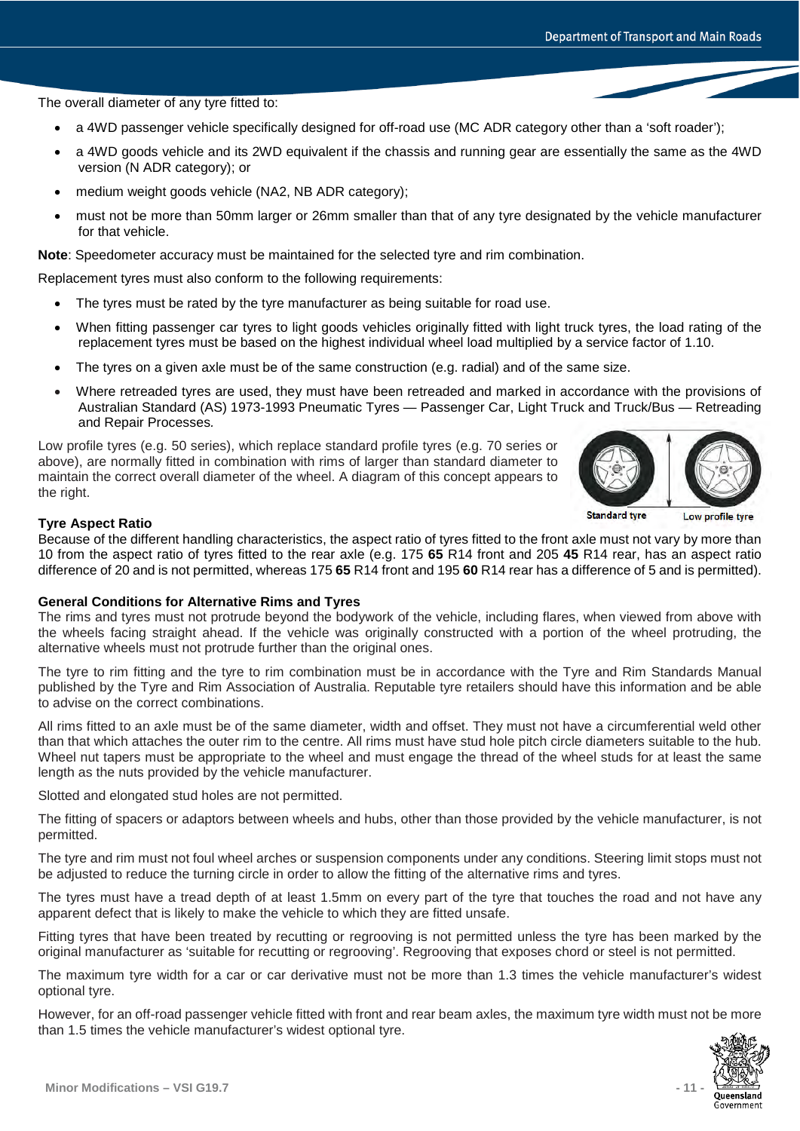The overall diameter of any tyre fitted to:

- a 4WD passenger vehicle specifically designed for off-road use (MC ADR category other than a 'soft roader');
- a 4WD goods vehicle and its 2WD equivalent if the chassis and running gear are essentially the same as the 4WD version (N ADR category); or
- medium weight goods vehicle (NA2, NB ADR category);
- must not be more than 50mm larger or 26mm smaller than that of any tyre designated by the vehicle manufacturer for that vehicle.

**Note**: Speedometer accuracy must be maintained for the selected tyre and rim combination.

Replacement tyres must also conform to the following requirements:

- The tyres must be rated by the tyre manufacturer as being suitable for road use.
- When fitting passenger car tyres to light goods vehicles originally fitted with light truck tyres, the load rating of the replacement tyres must be based on the highest individual wheel load multiplied by a service factor of 1.10.
- The tyres on a given axle must be of the same construction (e.g. radial) and of the same size.
- Where retreaded tyres are used, they must have been retreaded and marked in accordance with the provisions of Australian Standard (AS) 1973-1993 Pneumatic Tyres — Passenger Car, Light Truck and Truck/Bus — Retreading and Repair Processes*.*

Low profile tyres (e.g. 50 series), which replace standard profile tyres (e.g. 70 series or above), are normally fitted in combination with rims of larger than standard diameter to maintain the correct overall diameter of the wheel. A diagram of this concept appears to the right.



**Standard tyre** Low profile tyre

### **Tyre Aspect Ratio**

Because of the different handling characteristics, the aspect ratio of tyres fitted to the front axle must not vary by more than 10 from the aspect ratio of tyres fitted to the rear axle (e.g. 175 **65** R14 front and 205 **45** R14 rear, has an aspect ratio difference of 20 and is not permitted, whereas 175 **65** R14 front and 195 **60** R14 rear has a difference of 5 and is permitted).

### **General Conditions for Alternative Rims and Tyres**

The rims and tyres must not protrude beyond the bodywork of the vehicle, including flares, when viewed from above with the wheels facing straight ahead. If the vehicle was originally constructed with a portion of the wheel protruding, the alternative wheels must not protrude further than the original ones.

The tyre to rim fitting and the tyre to rim combination must be in accordance with the Tyre and Rim Standards Manual published by the Tyre and Rim Association of Australia. Reputable tyre retailers should have this information and be able to advise on the correct combinations.

All rims fitted to an axle must be of the same diameter, width and offset. They must not have a circumferential weld other than that which attaches the outer rim to the centre. All rims must have stud hole pitch circle diameters suitable to the hub. Wheel nut tapers must be appropriate to the wheel and must engage the thread of the wheel studs for at least the same length as the nuts provided by the vehicle manufacturer.

Slotted and elongated stud holes are not permitted.

The fitting of spacers or adaptors between wheels and hubs, other than those provided by the vehicle manufacturer, is not permitted.

The tyre and rim must not foul wheel arches or suspension components under any conditions. Steering limit stops must not be adjusted to reduce the turning circle in order to allow the fitting of the alternative rims and tyres.

The tyres must have a tread depth of at least 1.5mm on every part of the tyre that touches the road and not have any apparent defect that is likely to make the vehicle to which they are fitted unsafe.

Fitting tyres that have been treated by recutting or regrooving is not permitted unless the tyre has been marked by the original manufacturer as 'suitable for recutting or regrooving'. Regrooving that exposes chord or steel is not permitted.

The maximum tyre width for a car or car derivative must not be more than 1.3 times the vehicle manufacturer's widest optional tyre.

However, for an off-road passenger vehicle fitted with front and rear beam axles, the maximum tyre width must not be more than 1.5 times the vehicle manufacturer's widest optional tyre.

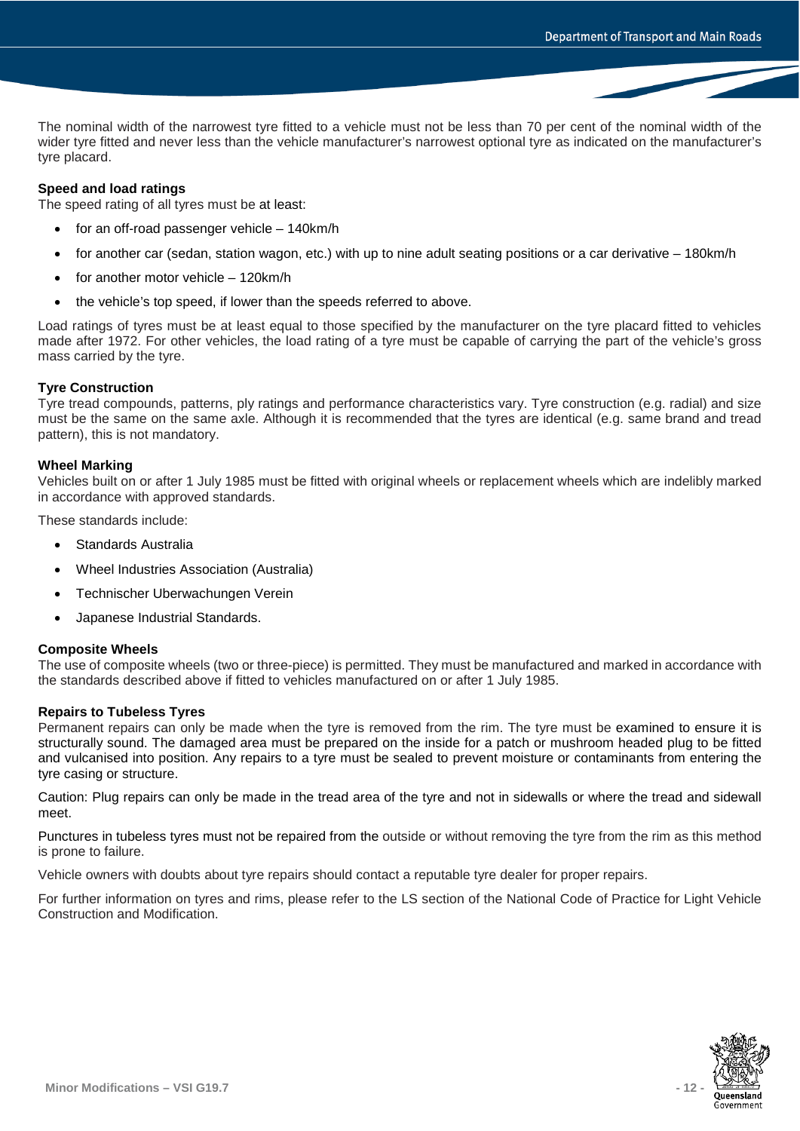The nominal width of the narrowest tyre fitted to a vehicle must not be less than 70 per cent of the nominal width of the wider tyre fitted and never less than the vehicle manufacturer's narrowest optional tyre as indicated on the manufacturer's tyre placard.

# **Speed and load ratings**

The speed rating of all tyres must be at least:

- for an off-road passenger vehicle 140km/h
- for another car (sedan, station wagon, etc.) with up to nine adult seating positions or a car derivative 180km/h
- for another motor vehicle 120km/h
- the vehicle's top speed, if lower than the speeds referred to above.

Load ratings of tyres must be at least equal to those specified by the manufacturer on the tyre placard fitted to vehicles made after 1972. For other vehicles, the load rating of a tyre must be capable of carrying the part of the vehicle's gross mass carried by the tyre.

### **Tyre Construction**

Tyre tread compounds, patterns, ply ratings and performance characteristics vary. Tyre construction (e.g. radial) and size must be the same on the same axle. Although it is recommended that the tyres are identical (e.g. same brand and tread pattern), this is not mandatory.

### **Wheel Marking**

Vehicles built on or after 1 July 1985 must be fitted with original wheels or replacement wheels which are indelibly marked in accordance with approved standards.

These standards include:

- Standards Australia
- Wheel Industries Association (Australia)
- Technischer Uberwachungen Verein
- Japanese Industrial Standards.

#### **Composite Wheels**

The use of composite wheels (two or three-piece) is permitted. They must be manufactured and marked in accordance with the standards described above if fitted to vehicles manufactured on or after 1 July 1985.

#### **Repairs to Tubeless Tyres**

Permanent repairs can only be made when the tyre is removed from the rim. The tyre must be examined to ensure it is structurally sound. The damaged area must be prepared on the inside for a patch or mushroom headed plug to be fitted and vulcanised into position. Any repairs to a tyre must be sealed to prevent moisture or contaminants from entering the tyre casing or structure.

Caution: Plug repairs can only be made in the tread area of the tyre and not in sidewalls or where the tread and sidewall meet.

Punctures in tubeless tyres must not be repaired from the outside or without removing the tyre from the rim as this method is prone to failure.

Vehicle owners with doubts about tyre repairs should contact a reputable tyre dealer for proper repairs.

For further information on tyres and rims, please refer to the LS section of the National Code of Practice for Light Vehicle Construction and Modification.

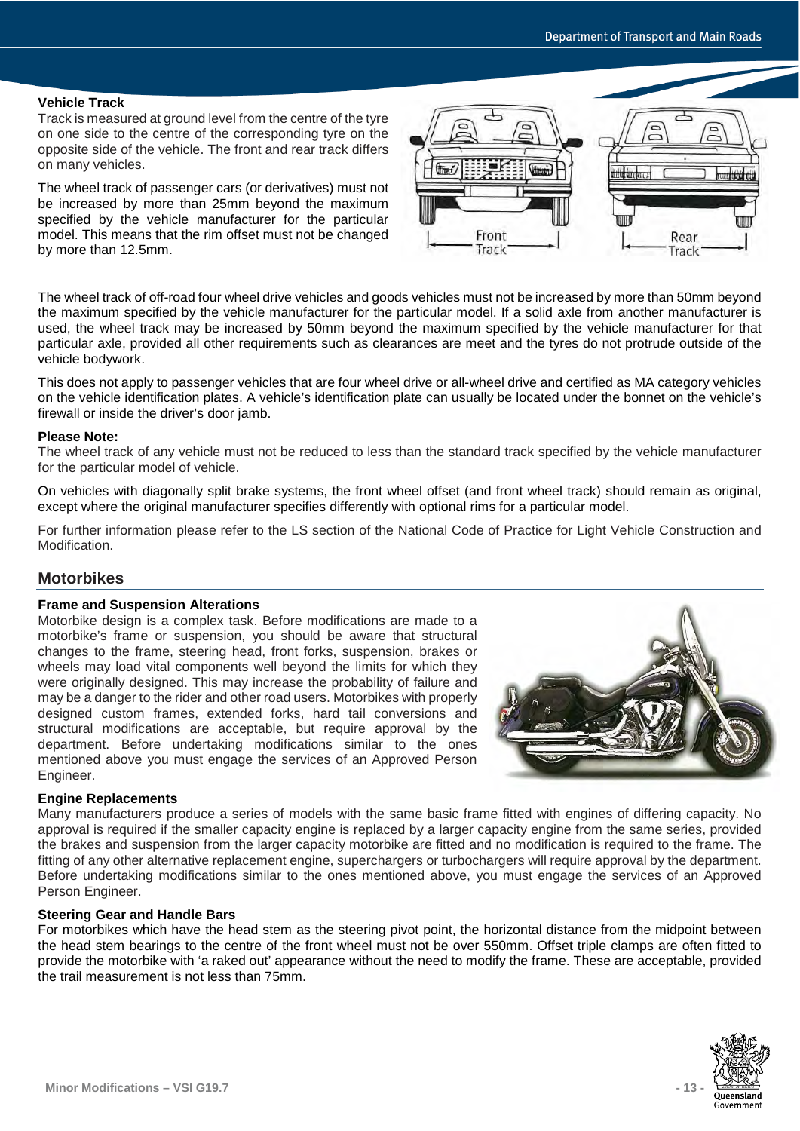### **Vehicle Track**

Track is measured at ground level from the centre of the tyre on one side to the centre of the corresponding tyre on the opposite side of the vehicle. The front and rear track differs on many vehicles.

The wheel track of passenger cars (or derivatives) must not be increased by more than 25mm beyond the maximum specified by the vehicle manufacturer for the particular model. This means that the rim offset must not be changed by more than 12.5mm.



The wheel track of off-road four wheel drive vehicles and goods vehicles must not be increased by more than 50mm beyond the maximum specified by the vehicle manufacturer for the particular model. If a solid axle from another manufacturer is used, the wheel track may be increased by 50mm beyond the maximum specified by the vehicle manufacturer for that particular axle, provided all other requirements such as clearances are meet and the tyres do not protrude outside of the vehicle bodywork.

This does not apply to passenger vehicles that are four wheel drive or all-wheel drive and certified as MA category vehicles on the vehicle identification plates. A vehicle's identification plate can usually be located under the bonnet on the vehicle's firewall or inside the driver's door jamb.

### **Please Note:**

The wheel track of any vehicle must not be reduced to less than the standard track specified by the vehicle manufacturer for the particular model of vehicle.

On vehicles with diagonally split brake systems, the front wheel offset (and front wheel track) should remain as original, except where the original manufacturer specifies differently with optional rims for a particular model.

For further information please refer to the LS section of the National Code of Practice for Light Vehicle Construction and Modification.

# **Motorbikes**

### **Frame and Suspension Alterations**

Motorbike design is a complex task. Before modifications are made to a motorbike's frame or suspension, you should be aware that structural changes to the frame, steering head, front forks, suspension, brakes or wheels may load vital components well beyond the limits for which they were originally designed. This may increase the probability of failure and may be a danger to the rider and other road users. Motorbikes with properly designed custom frames, extended forks, hard tail conversions and structural modifications are acceptable, but require approval by the department. Before undertaking modifications similar to the ones mentioned above you must engage the services of an Approved Person Engineer.



### **Engine Replacements**

Many manufacturers produce a series of models with the same basic frame fitted with engines of differing capacity. No approval is required if the smaller capacity engine is replaced by a larger capacity engine from the same series, provided the brakes and suspension from the larger capacity motorbike are fitted and no modification is required to the frame. The fitting of any other alternative replacement engine, superchargers or turbochargers will require approval by the department. Before undertaking modifications similar to the ones mentioned above, you must engage the services of an Approved Person Engineer.

### **Steering Gear and Handle Bars**

For motorbikes which have the head stem as the steering pivot point, the horizontal distance from the midpoint between the head stem bearings to the centre of the front wheel must not be over 550mm. Offset triple clamps are often fitted to provide the motorbike with 'a raked out' appearance without the need to modify the frame. These are acceptable, provided the trail measurement is not less than 75mm.

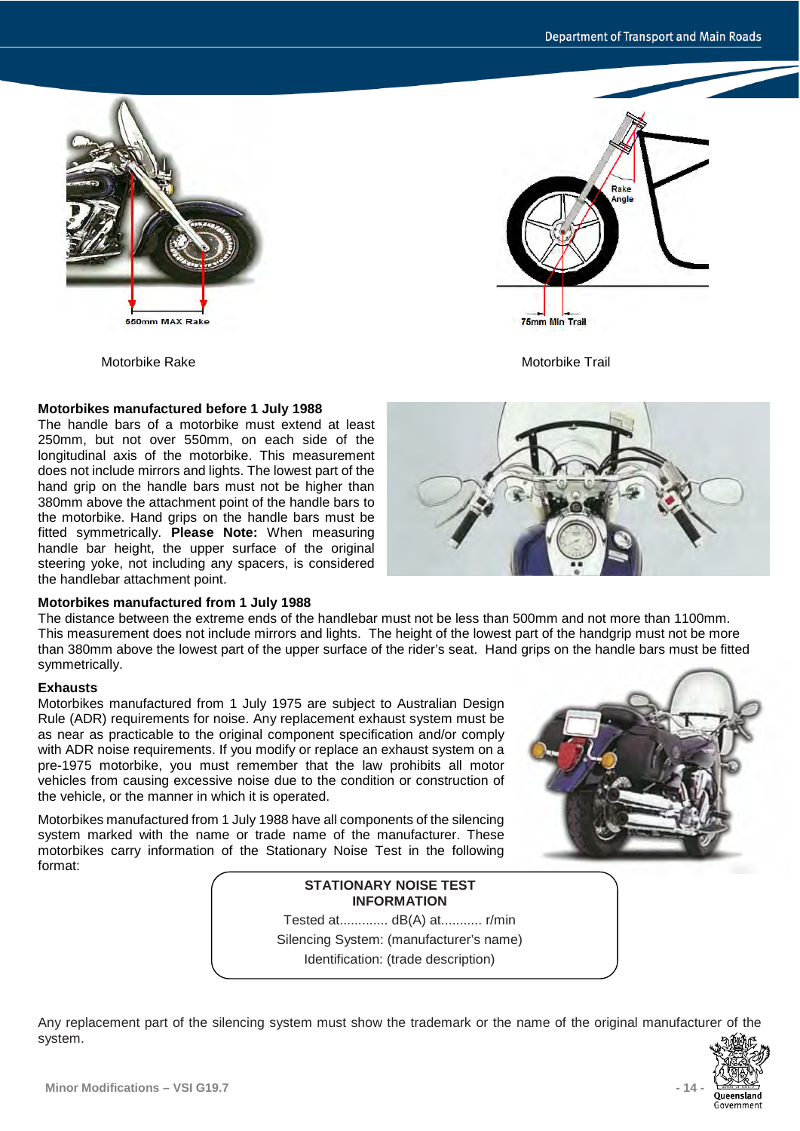Rake Inale



# **Motorbikes manufactured before 1 July 1988**

The handle bars of a motorbike must extend at least 250mm, but not over 550mm, on each side of the longitudinal axis of the motorbike. This measurement does not include mirrors and lights. The lowest part of the hand grip on the handle bars must not be higher than 380mm above the attachment point of the handle bars to the motorbike. Hand grips on the handle bars must be fitted symmetrically. **Please Note:** When measuring handle bar height, the upper surface of the original steering yoke, not including any spacers, is considered the handlebar attachment point.



**75mm Min Trail** 

### **Motorbikes manufactured from 1 July 1988**

The distance between the extreme ends of the handlebar must not be less than 500mm and not more than 1100mm. This measurement does not include mirrors and lights. The height of the lowest part of the handgrip must not be more than 380mm above the lowest part of the upper surface of the rider's seat. Hand grips on the handle bars must be fitted symmetrically.

### **Exhausts**

Motorbikes manufactured from 1 July 1975 are subject to Australian Design Rule (ADR) requirements for noise. Any replacement exhaust system must be as near as practicable to the original component specification and/or comply with ADR noise requirements. If you modify or replace an exhaust system on a pre-1975 motorbike, you must remember that the law prohibits all motor vehicles from causing excessive noise due to the condition or construction of the vehicle, or the manner in which it is operated.

Motorbikes manufactured from 1 July 1988 have all components of the silencing system marked with the name or trade name of the manufacturer. These motorbikes carry information of the Stationary Noise Test in the following format:



# **STATIONARY NOISE TEST INFORMATION** Tested at............. dB(A) at........... r/min Silencing System: (manufacturer's name)

Identification: (trade description)

Any replacement part of the silencing system must show the trademark or the name of the original manufacturer of the system.

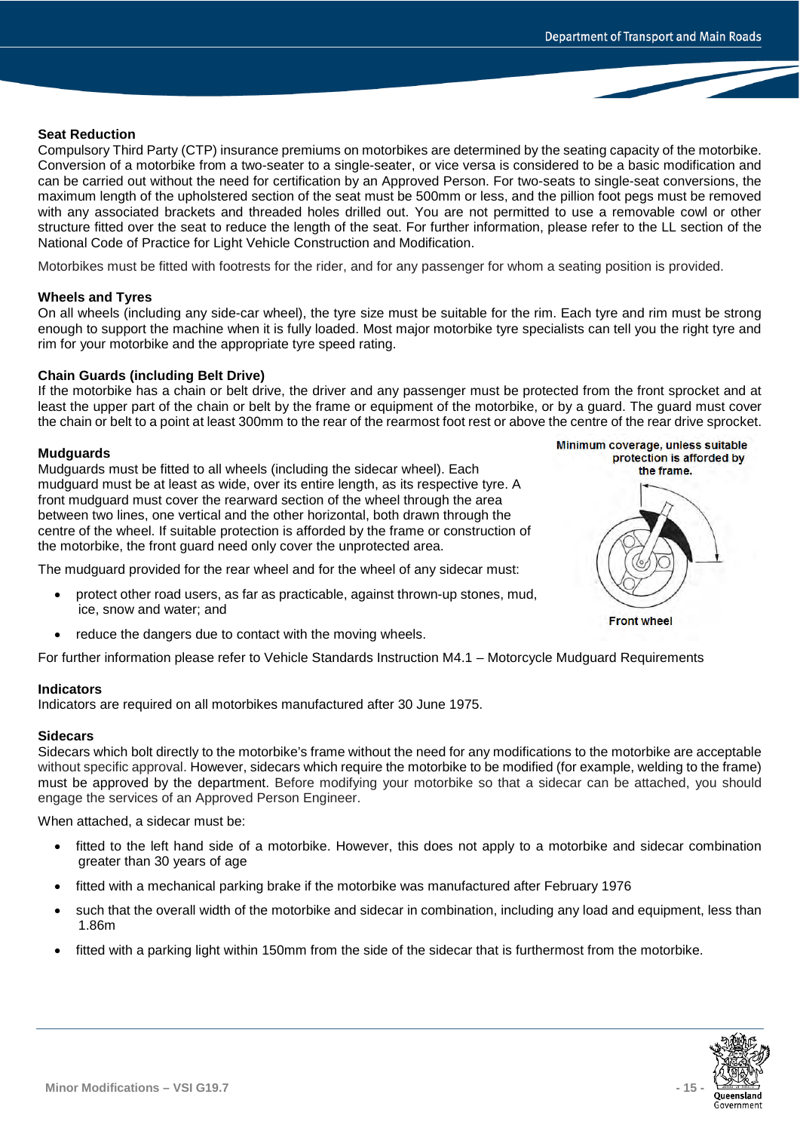### **Seat Reduction**

Compulsory Third Party (CTP) insurance premiums on motorbikes are determined by the seating capacity of the motorbike. Conversion of a motorbike from a two-seater to a single-seater, or vice versa is considered to be a basic modification and can be carried out without the need for certification by an Approved Person. For two-seats to single-seat conversions, the maximum length of the upholstered section of the seat must be 500mm or less, and the pillion foot pegs must be removed with any associated brackets and threaded holes drilled out. You are not permitted to use a removable cowl or other structure fitted over the seat to reduce the length of the seat. For further information, please refer to the LL section of the National Code of Practice for Light Vehicle Construction and Modification.

Motorbikes must be fitted with footrests for the rider, and for any passenger for whom a seating position is provided.

### **Wheels and Tyres**

On all wheels (including any side-car wheel), the tyre size must be suitable for the rim. Each tyre and rim must be strong enough to support the machine when it is fully loaded. Most major motorbike tyre specialists can tell you the right tyre and rim for your motorbike and the appropriate tyre speed rating.

### **Chain Guards (including Belt Drive)**

If the motorbike has a chain or belt drive, the driver and any passenger must be protected from the front sprocket and at least the upper part of the chain or belt by the frame or equipment of the motorbike, or by a guard. The guard must cover the chain or belt to a point at least 300mm to the rear of the rearmost foot rest or above the centre of the rear drive sprocket.

### **Mudguards**

Mudguards must be fitted to all wheels (including the sidecar wheel). Each mudguard must be at least as wide, over its entire length, as its respective tyre. A front mudguard must cover the rearward section of the wheel through the area between two lines, one vertical and the other horizontal, both drawn through the centre of the wheel. If suitable protection is afforded by the frame or construction of the motorbike, the front guard need only cover the unprotected area.

The mudguard provided for the rear wheel and for the wheel of any sidecar must:

- protect other road users, as far as practicable, against thrown-up stones, mud, ice, snow and water; and
- reduce the dangers due to contact with the moving wheels.

For further information please refer to Vehicle Standards Instruction M4.1 – Motorcycle Mudguard Requirements

#### **Indicators**

Indicators are required on all motorbikes manufactured after 30 June 1975.

### **Sidecars**

Sidecars which bolt directly to the motorbike's frame without the need for any modifications to the motorbike are acceptable without specific approval. However, sidecars which require the motorbike to be modified (for example, welding to the frame) must be approved by the department. Before modifying your motorbike so that a sidecar can be attached, you should engage the services of an Approved Person Engineer.

When attached, a sidecar must be:

- fitted to the left hand side of a motorbike. However, this does not apply to a motorbike and sidecar combination greater than 30 years of age
- fitted with a mechanical parking brake if the motorbike was manufactured after February 1976
- such that the overall width of the motorbike and sidecar in combination, including any load and equipment, less than 1.86m
- fitted with a parking light within 150mm from the side of the sidecar that is furthermost from the motorbike.



Minimum coverage, unless suitable